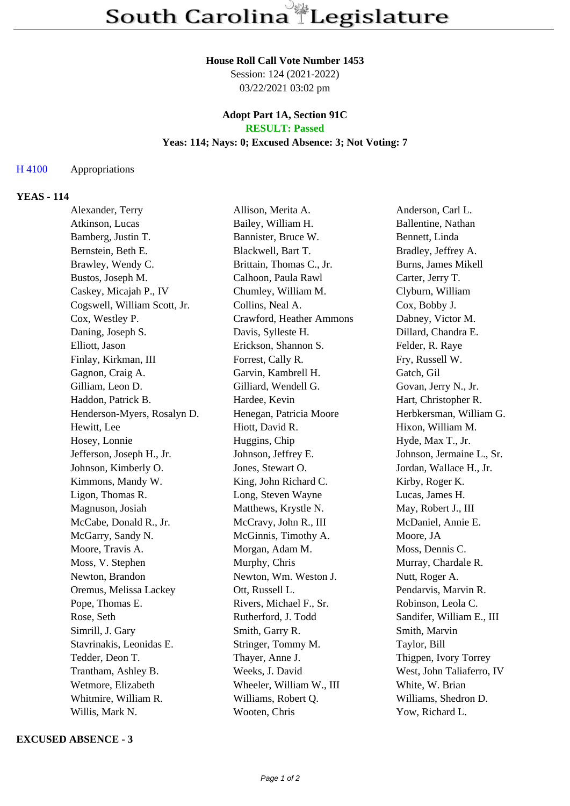# **House Roll Call Vote Number 1453**

Session: 124 (2021-2022) 03/22/2021 03:02 pm

### **Adopt Part 1A, Section 91C RESULT: Passed**

# **Yeas: 114; Nays: 0; Excused Absence: 3; Not Voting: 7**

### H 4100 Appropriations

# **YEAS - 114**

| Alexander, Terry             | Allison, Merita A.       | Anderson, Carl L.         |
|------------------------------|--------------------------|---------------------------|
| Atkinson, Lucas              | Bailey, William H.       | Ballentine, Nathan        |
| Bamberg, Justin T.           | Bannister, Bruce W.      | Bennett, Linda            |
| Bernstein, Beth E.           | Blackwell, Bart T.       | Bradley, Jeffrey A.       |
| Brawley, Wendy C.            | Brittain, Thomas C., Jr. | Burns, James Mikell       |
| Bustos, Joseph M.            | Calhoon, Paula Rawl      | Carter, Jerry T.          |
| Caskey, Micajah P., IV       | Chumley, William M.      | Clyburn, William          |
| Cogswell, William Scott, Jr. | Collins, Neal A.         | Cox, Bobby J.             |
| Cox, Westley P.              | Crawford, Heather Ammons | Dabney, Victor M.         |
| Daning, Joseph S.            | Davis, Sylleste H.       | Dillard, Chandra E.       |
| Elliott, Jason               | Erickson, Shannon S.     | Felder, R. Raye           |
| Finlay, Kirkman, III         | Forrest, Cally R.        | Fry, Russell W.           |
| Gagnon, Craig A.             | Garvin, Kambrell H.      | Gatch, Gil                |
| Gilliam, Leon D.             | Gilliard, Wendell G.     | Govan, Jerry N., Jr.      |
| Haddon, Patrick B.           | Hardee, Kevin            | Hart, Christopher R.      |
| Henderson-Myers, Rosalyn D.  | Henegan, Patricia Moore  | Herbkersman, William G.   |
| Hewitt, Lee                  | Hiott, David R.          | Hixon, William M.         |
| Hosey, Lonnie                | Huggins, Chip            | Hyde, Max T., Jr.         |
| Jefferson, Joseph H., Jr.    | Johnson, Jeffrey E.      | Johnson, Jermaine L., Sr. |
| Johnson, Kimberly O.         | Jones, Stewart O.        | Jordan, Wallace H., Jr.   |
| Kimmons, Mandy W.            | King, John Richard C.    | Kirby, Roger K.           |
| Ligon, Thomas R.             | Long, Steven Wayne       | Lucas, James H.           |
| Magnuson, Josiah             | Matthews, Krystle N.     | May, Robert J., III       |
| McCabe, Donald R., Jr.       | McCravy, John R., III    | McDaniel, Annie E.        |
| McGarry, Sandy N.            | McGinnis, Timothy A.     | Moore, JA                 |
| Moore, Travis A.             | Morgan, Adam M.          | Moss, Dennis C.           |
| Moss, V. Stephen             | Murphy, Chris            | Murray, Chardale R.       |
| Newton, Brandon              | Newton, Wm. Weston J.    | Nutt, Roger A.            |
| Oremus, Melissa Lackey       | Ott, Russell L.          | Pendarvis, Marvin R.      |
| Pope, Thomas E.              | Rivers, Michael F., Sr.  | Robinson, Leola C.        |
| Rose, Seth                   | Rutherford, J. Todd      | Sandifer, William E., III |
| Simrill, J. Gary             | Smith, Garry R.          | Smith, Marvin             |
| Stavrinakis, Leonidas E.     | Stringer, Tommy M.       | Taylor, Bill              |
| Tedder, Deon T.              | Thayer, Anne J.          | Thigpen, Ivory Torrey     |
| Trantham, Ashley B.          | Weeks, J. David          | West, John Taliaferro, IV |
| Wetmore, Elizabeth           | Wheeler, William W., III | White, W. Brian           |
| Whitmire, William R.         | Williams, Robert Q.      | Williams, Shedron D.      |
| Willis, Mark N.              | Wooten, Chris            | Yow, Richard L.           |

#### **EXCUSED ABSENCE - 3**